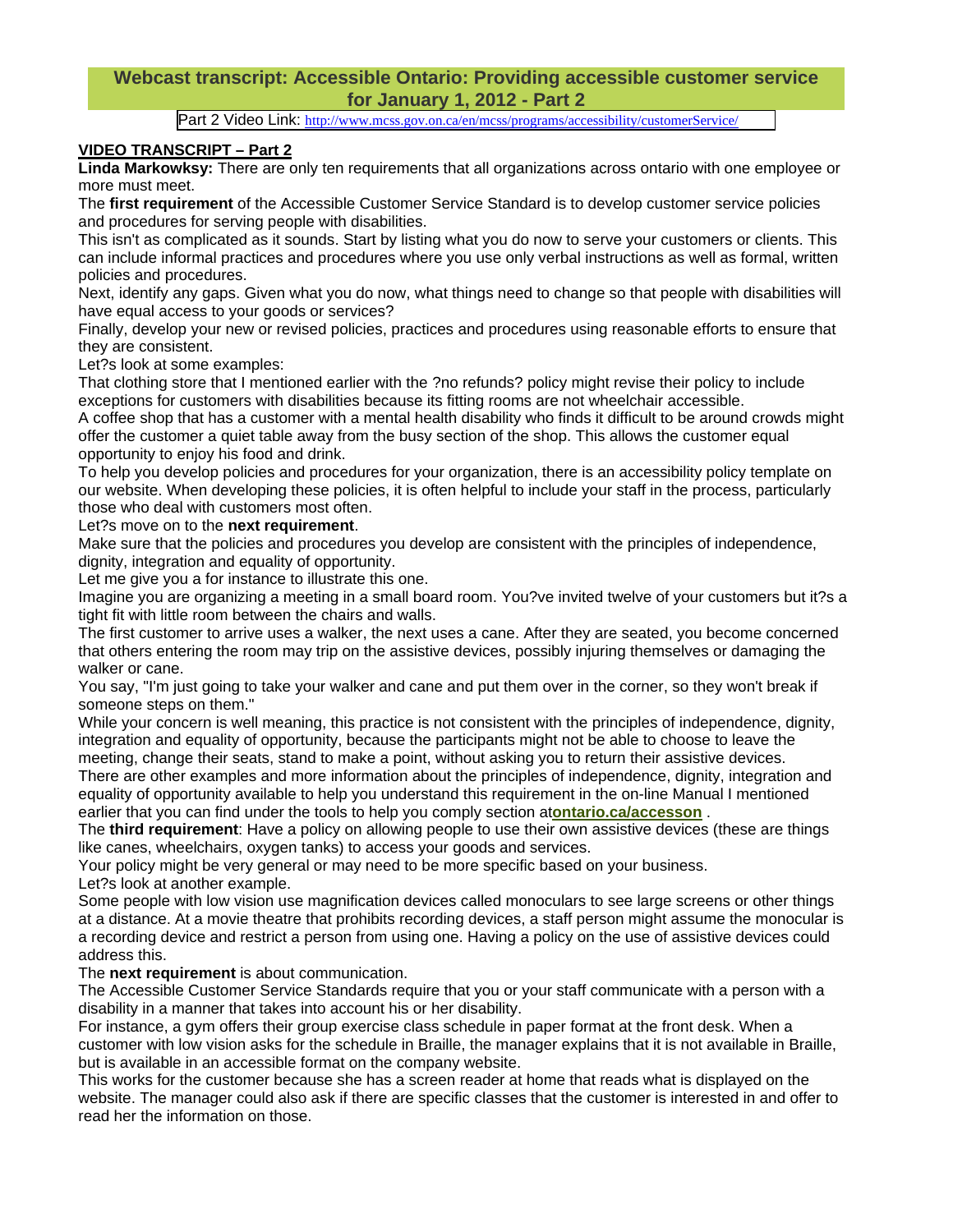## **Webcast transcript: Accessible Ontario: Providing accessible customer service for January 1, 2012 - Part 2**

Part 2 Video Link: http://www.mcss.gov.on.ca/en/mcss/programs/accessibility/customerService/

## **VIDEO TRANSCRIPT – Part 2**

**Linda Markowksy:** There are only ten requirements that all organizations across ontario with one employee or more must meet.

The **first requirement** of the Accessible Customer Service Standard is to develop customer service policies and procedures for serving people with disabilities.

This isn't as complicated as it sounds. Start by listing what you do now to serve your customers or clients. This can include informal practices and procedures where you use only verbal instructions as well as formal, written policies and procedures.

Next, identify any gaps. Given what you do now, what things need to change so that people with disabilities will have equal access to your goods or services?

Finally, develop your new or revised policies, practices and procedures using reasonable efforts to ensure that they are consistent.

Let?s look at some examples:

That clothing store that I mentioned earlier with the ?no refunds? policy might revise their policy to include exceptions for customers with disabilities because its fitting rooms are not wheelchair accessible.

A coffee shop that has a customer with a mental health disability who finds it difficult to be around crowds might offer the customer a quiet table away from the busy section of the shop. This allows the customer equal opportunity to enjoy his food and drink.

To help you develop policies and procedures for your organization, there is an accessibility policy template on our website. When developing these policies, it is often helpful to include your staff in the process, particularly those who deal with customers most often.

Let?s move on to the **next requirement**.

Make sure that the policies and procedures you develop are consistent with the principles of independence, dignity, integration and equality of opportunity.

Let me give you a for instance to illustrate this one.

Imagine you are organizing a meeting in a small board room. You?ve invited twelve of your customers but it?s a tight fit with little room between the chairs and walls.

The first customer to arrive uses a walker, the next uses a cane. After they are seated, you become concerned that others entering the room may trip on the assistive devices, possibly injuring themselves or damaging the walker or cane.

You say, "I'm just going to take your walker and cane and put them over in the corner, so they won't break if someone steps on them."

While your concern is well meaning, this practice is not consistent with the principles of independence, dignity, integration and equality of opportunity, because the participants might not be able to choose to leave the meeting, change their seats, stand to make a point, without asking you to return their assistive devices.

There are other examples and more information about the principles of independence, dignity, integration and equality of opportunity available to help you understand this requirement in the on-line Manual I mentioned earlier that you can find under the tools to help you comply section at**ontario.ca/accesson** .

The **third requirement**: Have a policy on allowing people to use their own assistive devices (these are things like canes, wheelchairs, oxygen tanks) to access your goods and services.

Your policy might be very general or may need to be more specific based on your business. Let?s look at another example.

Some people with low vision use magnification devices called monoculars to see large screens or other things at a distance. At a movie theatre that prohibits recording devices, a staff person might assume the monocular is a recording device and restrict a person from using one. Having a policy on the use of assistive devices could address this.

## The **next requirement** is about communication.

The Accessible Customer Service Standards require that you or your staff communicate with a person with a disability in a manner that takes into account his or her disability.

For instance, a gym offers their group exercise class schedule in paper format at the front desk. When a customer with low vision asks for the schedule in Braille, the manager explains that it is not available in Braille, but is available in an accessible format on the company website.

This works for the customer because she has a screen reader at home that reads what is displayed on the website. The manager could also ask if there are specific classes that the customer is interested in and offer to read her the information on those.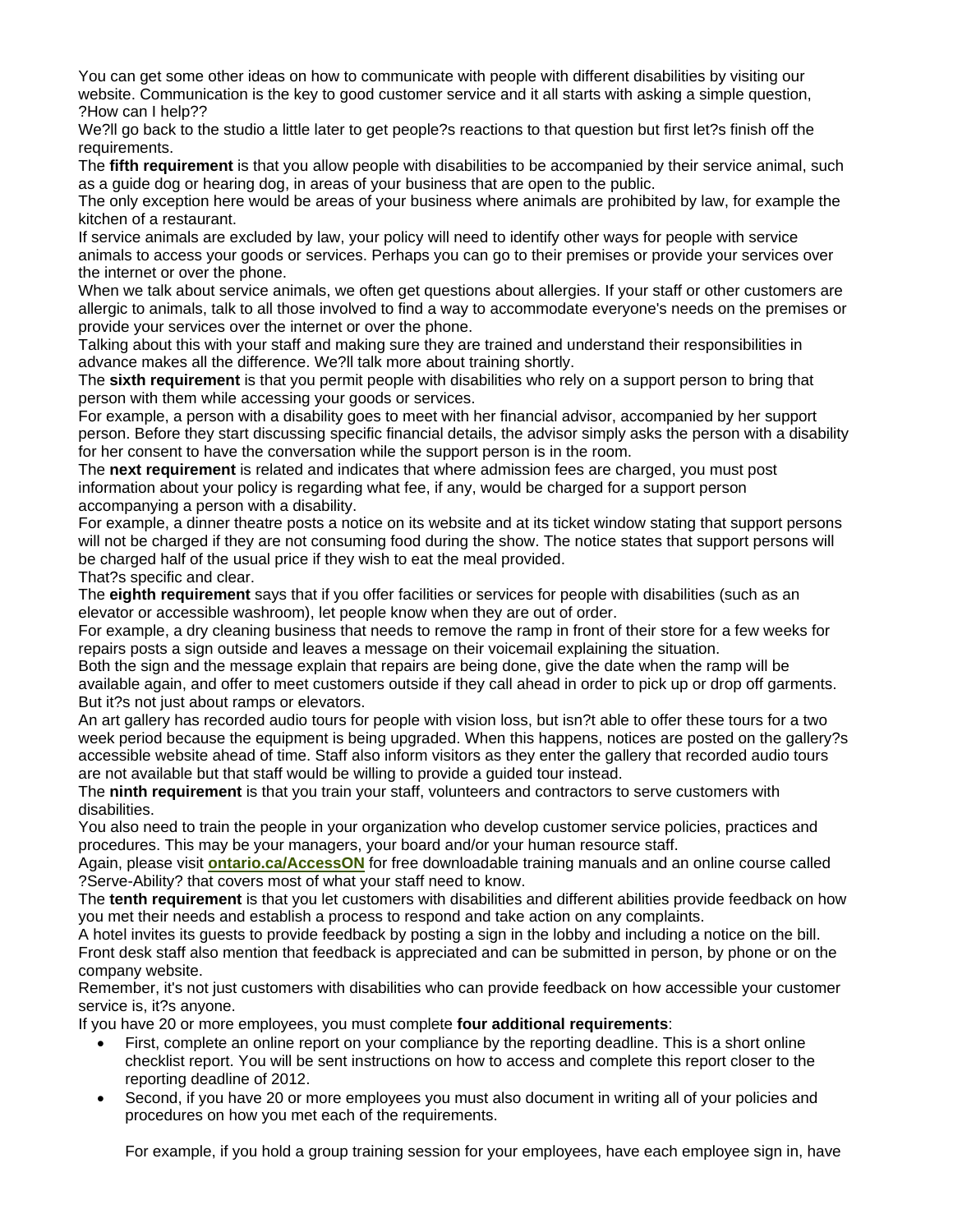You can get some other ideas on how to communicate with people with different disabilities by visiting our website. Communication is the key to good customer service and it all starts with asking a simple question, ?How can I help??

We?ll go back to the studio a little later to get people?s reactions to that question but first let?s finish off the requirements.

The **fifth requirement** is that you allow people with disabilities to be accompanied by their service animal, such as a guide dog or hearing dog, in areas of your business that are open to the public.

The only exception here would be areas of your business where animals are prohibited by law, for example the kitchen of a restaurant.

If service animals are excluded by law, your policy will need to identify other ways for people with service animals to access your goods or services. Perhaps you can go to their premises or provide your services over the internet or over the phone.

When we talk about service animals, we often get questions about allergies. If your staff or other customers are allergic to animals, talk to all those involved to find a way to accommodate everyone's needs on the premises or provide your services over the internet or over the phone.

Talking about this with your staff and making sure they are trained and understand their responsibilities in advance makes all the difference. We?ll talk more about training shortly.

The **sixth requirement** is that you permit people with disabilities who rely on a support person to bring that person with them while accessing your goods or services.

For example, a person with a disability goes to meet with her financial advisor, accompanied by her support person. Before they start discussing specific financial details, the advisor simply asks the person with a disability for her consent to have the conversation while the support person is in the room.

The **next requirement** is related and indicates that where admission fees are charged, you must post information about your policy is regarding what fee, if any, would be charged for a support person accompanying a person with a disability.

For example, a dinner theatre posts a notice on its website and at its ticket window stating that support persons will not be charged if they are not consuming food during the show. The notice states that support persons will be charged half of the usual price if they wish to eat the meal provided. That?s specific and clear.

The **eighth requirement** says that if you offer facilities or services for people with disabilities (such as an elevator or accessible washroom), let people know when they are out of order.

For example, a dry cleaning business that needs to remove the ramp in front of their store for a few weeks for repairs posts a sign outside and leaves a message on their voicemail explaining the situation.

Both the sign and the message explain that repairs are being done, give the date when the ramp will be available again, and offer to meet customers outside if they call ahead in order to pick up or drop off garments. But it?s not just about ramps or elevators.

An art gallery has recorded audio tours for people with vision loss, but isn?t able to offer these tours for a two week period because the equipment is being upgraded. When this happens, notices are posted on the gallery?s accessible website ahead of time. Staff also inform visitors as they enter the gallery that recorded audio tours are not available but that staff would be willing to provide a guided tour instead.

The **ninth requirement** is that you train your staff, volunteers and contractors to serve customers with disabilities.

You also need to train the people in your organization who develop customer service policies, practices and procedures. This may be your managers, your board and/or your human resource staff.

Again, please visit **ontario.ca/AccessON** for free downloadable training manuals and an online course called ?Serve-Ability? that covers most of what your staff need to know.

The **tenth requirement** is that you let customers with disabilities and different abilities provide feedback on how you met their needs and establish a process to respond and take action on any complaints.

A hotel invites its guests to provide feedback by posting a sign in the lobby and including a notice on the bill. Front desk staff also mention that feedback is appreciated and can be submitted in person, by phone or on the company website.

Remember, it's not just customers with disabilities who can provide feedback on how accessible your customer service is, it?s anyone.

If you have 20 or more employees, you must complete **four additional requirements**:

- First, complete an online report on your compliance by the reporting deadline. This is a short online checklist report. You will be sent instructions on how to access and complete this report closer to the reporting deadline of 2012.
- Second, if you have 20 or more employees you must also document in writing all of your policies and procedures on how you met each of the requirements.

For example, if you hold a group training session for your employees, have each employee sign in, have